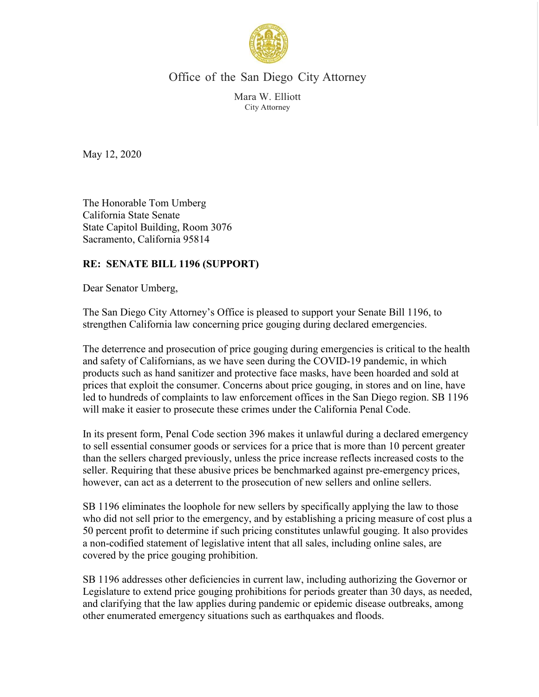

Office of the San Diego City Attorney

Mara W. Elliott City Attorney

May 12, 2020

The Honorable Tom Umberg California State Senate State Capitol Building, Room 3076 Sacramento, California 95814

## **RE: SENATE BILL 1196 (SUPPORT)**

Dear Senator Umberg,

The San Diego City Attorney's Office is pleased to support your Senate Bill 1196, to strengthen California law concerning price gouging during declared emergencies.

The deterrence and prosecution of price gouging during emergencies is critical to the health and safety of Californians, as we have seen during the COVID-19 pandemic, in which products such as hand sanitizer and protective face masks, have been hoarded and sold at prices that exploit the consumer. Concerns about price gouging, in stores and on line, have led to hundreds of complaints to law enforcement offices in the San Diego region. SB 1196 will make it easier to prosecute these crimes under the California Penal Code.

In its present form, Penal Code section 396 makes it unlawful during a declared emergency to sell essential consumer goods or services for a price that is more than 10 percent greater than the sellers charged previously, unless the price increase reflects increased costs to the seller. Requiring that these abusive prices be benchmarked against pre-emergency prices, however, can act as a deterrent to the prosecution of new sellers and online sellers.

SB 1196 eliminates the loophole for new sellers by specifically applying the law to those who did not sell prior to the emergency, and by establishing a pricing measure of cost plus a 50 percent profit to determine if such pricing constitutes unlawful gouging. It also provides a non-codified statement of legislative intent that all sales, including online sales, are covered by the price gouging prohibition.

SB 1196 addresses other deficiencies in current law, including authorizing the Governor or Legislature to extend price gouging prohibitions for periods greater than 30 days, as needed, and clarifying that the law applies during pandemic or epidemic disease outbreaks, among other enumerated emergency situations such as earthquakes and floods.